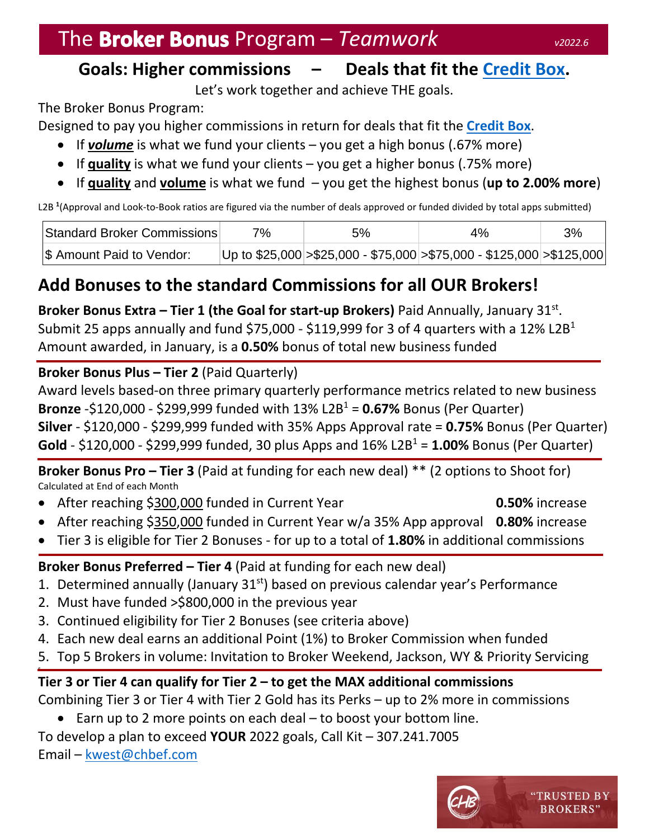## The **Broker Bonus** Program – *Teamwork v***<sub>2022.6</sub>**

### **Goals: Higher commissions – Deals that fit the [Credit Box.](https://chbef.com/wp-content/uploads/2021/11/Credit-Box-of-CHB-December-2021.pdf)**

Let's work together and achieve THE goals.

The Broker Bonus Program:

Designed to pay you higher commissions in return for deals that fit the **[Credit Box](https://chbef.com/wp-content/uploads/2021/11/Credit-Box-of-CHB-December-2021.pdf)**.

- If *volume* is what we fund your clients you get a high bonus (.67% more)
- If **quality** is what we fund your clients you get a higher bonus (.75% more)
- If **quality** and **volume** is what we fund you get the highest bonus (**up to 2.00% more**)

L2B **<sup>1</sup>** (Approval and Look-to-Book ratios are figured via the number of deals approved or funded divided by total apps submitted)

| Standard Broker Commissions     | 7% | 5% | 4%                                                                            | 3% |
|---------------------------------|----|----|-------------------------------------------------------------------------------|----|
| \$\$\$\$ Amount Paid to Vendor: |    |    | Up to $$25,000$ > $$25,000$ - $$75,000$ > $$75,000$ - $$125,000$ > $$125,000$ |    |

## **Add Bonuses to the standard Commissions for all OUR Brokers!**

**Broker Bonus Extra – Tier 1 (the Goal for start-up Brokers) Paid Annually, January 31st.** Submit 25 apps annually and fund \$75,000 - \$119,999 for 3 of 4 quarters with a 12% L2B<sup>1</sup> Amount awarded, in January, is a **0.50%** bonus of total new business funded

#### **Broker Bonus Plus – Tier 2** (Paid Quarterly)

Award levels based-on three primary quarterly performance metrics related to new business **Bronze** -\$120,000 - \$299,999 funded with 13% L2B<sup>1</sup> = **0.67%** Bonus (Per Quarter) **Silver** - \$120,000 - \$299,999 funded with 35% Apps Approval rate = **0.75%** Bonus (Per Quarter) **Gold** - \$120,000 - \$299,999 funded, 30 plus Apps and  $16\%$  L2B<sup>1</sup> = **1.00%** Bonus (Per Quarter)

**Broker Bonus Pro – Tier 3** (Paid at funding for each new deal) \*\* (2 options to Shoot for) Calculated at End of each Month

After reaching \$300,000 funded in Current Year **0.50%** increase

- After reaching \$350,000 funded in Current Year w/a 35% App approval **0.80%** increase
- Tier 3 is eligible for Tier 2 Bonuses for up to a total of **1.80%** in additional commissions

**Broker Bonus Preferred – Tier 4** (Paid at funding for each new deal)

- 1. Determined annually (January 31<sup>st</sup>) based on previous calendar year's Performance
- 2. Must have funded >\$800,000 in the previous year
- 3. Continued eligibility for Tier 2 Bonuses (see criteria above)
- 4. Each new deal earns an additional Point (1%) to Broker Commission when funded
- 5. Top 5 Brokers in volume: Invitation to Broker Weekend, Jackson, WY & Priority Servicing

6. **Tier 3 or Tier 4 can qualify for Tier 2 – to get the MAX additional commissions** Combining Tier 3 or Tier 4 with Tier 2 Gold has its Perks – up to 2% more in commissions

 $\bullet$  Earn up to 2 more points on each deal – to boost your bottom line.

To develop a plan to exceed **YOUR** 2022 goals, Call Kit – 307.241.7005 Email – [kwest@chbef.com](mailto:kwest@chbef.com)